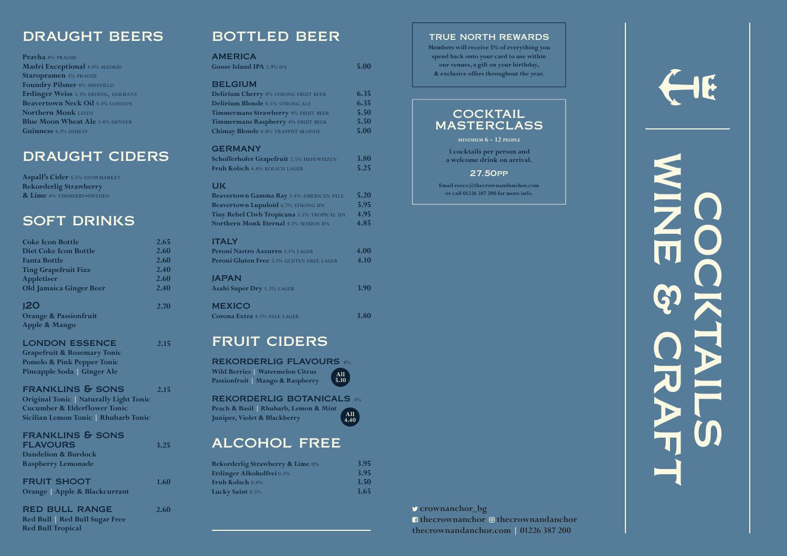#### TRUE NORTH REWARDS

**Members will receive 5% of everything you spend back onto your card to use within our venues, a gift on your birthday, & exclusive offers throughout the year.**

### **COCKTAIL** masterclass

**thecrownandanchor.com | 01226 387 200 crownanchor\_bg** *A* thecrownanchor  $\odot$  thecrownandanchor



**minimum 6 - 12 people**

**3 cocktails per person and a welcome drink on arrival.**

#### 27.50pp

**Email reece@thecrownandanchor.com or call 01226 387 200 for more info.**



**All 5.10**

## bottled beer

#### **AMERICA**

**Pravha** 4% prague **Madri Exceptional 4.6% MADRID Staropramen** 5% PRAGUE **Foundry Pilsner** 4% SHEFFIELD Erdinger Weiss 5.3% ERDING, GERMANY **Beavertown Neck Oil 4.3% LONDON Northern Monk LEEDS Blue Moon Wheat Ale 5.4% DENVER Guinness** 4.3% DUBLIN

| Goose Island IPA 5.9% IPA                   | 5.00 |
|---------------------------------------------|------|
| <b>BELGIUM</b>                              |      |
| Delirium Cherry 8% STRONG FRUIT BEER        | 6.35 |
| Delirium Blonde 8.5% STRONG ALE             | 6.35 |
| Timmermans Strawberry 4% FRUIT BEER         | 5.50 |
| Timmermans Raspberry 4% FRUIT BEER          | 5.50 |
| Chimay Blonde 4.8% TRAPPIST BLONDE          | 5.00 |
| <b>GERMANY</b>                              |      |
| Schofferhofer Grapefruit 2.5% HEFEWEIZEN    | 3.80 |
| Fruh Kolsch 4.8% KOLSCH LAGER               | 5.25 |
| <b>UK</b>                                   |      |
| Beavertown Gamma Ray 5.4% AMERICAN PALE     | 5.20 |
| Beavertown Lupuloid 6.7% STRONG IPA         | 5.95 |
| Tiny Rebel Clwb Tropicana 5.5% TROPICAL IPA | 4.95 |
| Northern Monk Eternal 4.1% SESSION IPA      | 4.85 |
| <b>ITALY</b>                                |      |
| Peroni Nastro Azzurro 5.1% LAGER            | 4.00 |
| Peroni Gluten Free 5.1% GLUTEN FREE LAGER   | 4.10 |

**Aspall's Cider** 4.5% STOWMARKET **Rekorderlig Strawberry & Lime** 4% vimmerby **-**sweden

#### japan

| <i>INI A</i> I<br>Asahi Super Dry 5.2% LAGER | <b>3.90</b> |
|----------------------------------------------|-------------|
| <b>MEXICO</b>                                |             |

**Corona Extra** 4.5% PALE LAGER **3.80** 

## fruit ciders

#### rekorderlig flavours 4%

**Wild Berries | Watermelon Citrus Passionfruit | Mango & Raspberry**

#### rekorderlig botanicals 4%

**Peach & Basil | Rhubarb, Lemon & Mint Juniper, Violet & Blackberry**

## alcohol free

| <b>Rekorderlig Strawberry &amp; Lime 0%</b> | <b>3.95</b> |
|---------------------------------------------|-------------|
| <b>Erdinger Alkoholfrei</b> 0.5%            | <b>3.95</b> |
| <b>Fruh Kolsch</b> 0.4%                     | 3.50        |
| Lucky Saint 0.5%                            | 3.65        |

## draught beers

# draught ciders

## soft drinks

| <b>Coke Icon Bottle</b>                       | 2.65 |
|-----------------------------------------------|------|
| <b>Diet Coke Icon Bottle</b>                  | 2.60 |
| <b>Fanta Bottle</b>                           | 2.60 |
| <b>Ting Grapefruit Fizz</b>                   | 2.40 |
| <b>Appletiser</b>                             | 2.60 |
| <b>Old Jamaica Ginger Beer</b>                | 2.40 |
| <b>J20</b>                                    | 2.70 |
| <b>Orange &amp; Passionfruit</b>              |      |
| <b>Apple &amp; Mango</b>                      |      |
| <b>LONDON ESSENCE</b>                         | 2.15 |
| <b>Grapefruit &amp; Rosemary Tonic</b>        |      |
| <b>Pomelo &amp; Pink Pepper Tonic</b>         |      |
| Pineapple Soda   Ginger Ale                   |      |
| <b>FRANKLINS &amp; SONS</b>                   | 2.15 |
| <b>Original Tonic   Naturally Light Tonic</b> |      |
| <b>Cucumber &amp; Elderflower Tonic</b>       |      |
| Sicilian Lemon Tonic   Rhubarb Tonic          |      |
| <b>FRANKLINS &amp; SONS</b>                   |      |
| <b>FLAVOURS</b>                               | 3.25 |
| <b>Dandelion &amp; Burdock</b>                |      |
| <b>Raspberry Lemonade</b>                     |      |
| <b>FRUIT SHOOT</b>                            | 1.60 |
| <b>Orange   Apple &amp; Blackcurrant</b>      |      |
| <b>RED BULL RANGE</b>                         | 2.60 |
| Red Bull Red Bull Sugar Free                  |      |

**Red Bull Tropical**